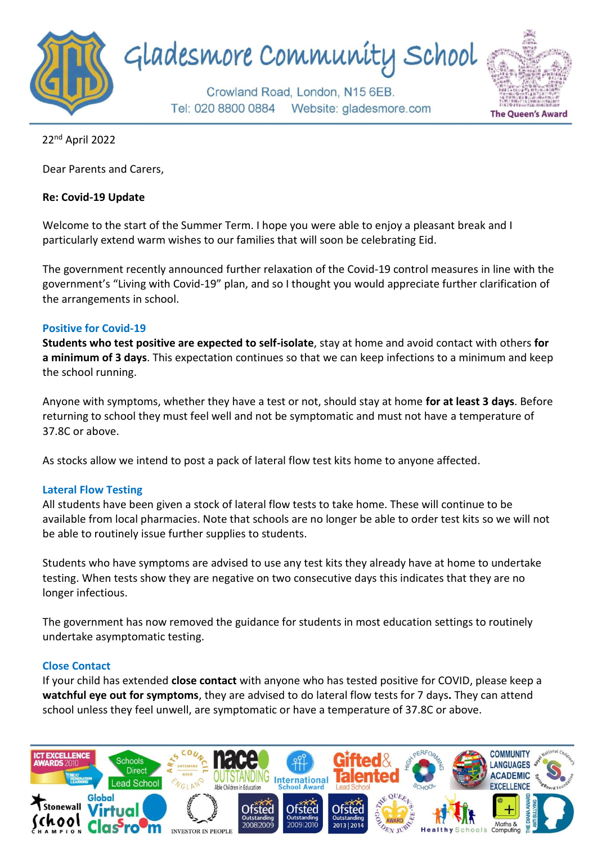

22nd April 2022

Dear Parents and Carers,

### **Re: Covid-19 Update**

Welcome to the start of the Summer Term. I hope you were able to enjoy a pleasant break and I particularly extend warm wishes to our families that will soon be celebrating Eid.

The government recently announced further relaxation of the Covid-19 control measures in line with the government's "Living with Covid-19" plan, and so I thought you would appreciate further clarification of the arrangements in school.

### **Positive for Covid-19**

**Students who test positive are expected to self-isolate**, stay at home and avoid contact with others **for a minimum of 3 days**. This expectation continues so that we can keep infections to a minimum and keep the school running.

Anyone with symptoms, whether they have a test or not, should stay at home **for at least 3 days**. Before returning to school they must feel well and not be symptomatic and must not have a temperature of 37.8C or above.

As stocks allow we intend to post a pack of lateral flow test kits home to anyone affected.

# **Lateral Flow Testing**

All students have been given a stock of lateral flow tests to take home. These will continue to be available from local pharmacies. Note that schools are no longer be able to order test kits so we will not be able to routinely issue further supplies to students.

Students who have symptoms are advised to use any test kits they already have at home to undertake testing. When tests show they are negative on two consecutive days this indicates that they are no longer infectious.

The government has now removed the guidance for students in most education settings to routinely undertake asymptomatic testing.

# **Close Contact**

If your child has extended **close contact** with anyone who has tested positive for COVID, please keep a **watchful eye out for symptoms**, they are advised to do lateral flow tests for 7 days**.** They can attend school unless they feel unwell, are symptomatic or have a temperature of 37.8C or above.